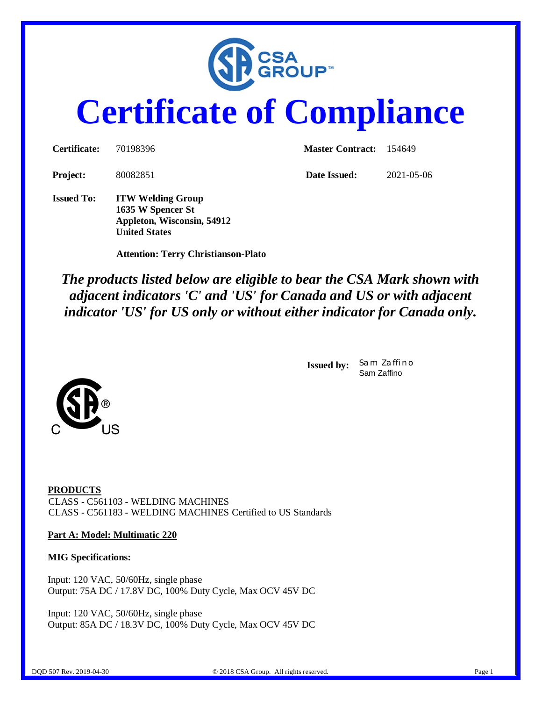

# **Certificate of Compliance**

| <b>Certificate:</b> | 70198396                                                                    | <b>Master Contract:</b> 154649 |            |  |
|---------------------|-----------------------------------------------------------------------------|--------------------------------|------------|--|
| <b>Project:</b>     | 80082851                                                                    | Date Issued:                   | 2021-05-06 |  |
| <b>Issued To:</b>   | <b>ITW Welding Group</b><br>1635 W Spencer St<br>Appleton, Wisconsin, 54912 |                                |            |  |

 **Attention: Terry Christianson-Plato**

**United States**

*The products listed below are eligible to bear the CSA Mark shown with adjacent indicators 'C' and 'US' for Canada and US or with adjacent indicator 'US' for US only or without either indicator for Canada only.*

> **Issued by:** *Sam Zaffino* Sam Zaffino



### **Part A: Model: Multimatic 220**

### **MIG Specifications:**

Input: 120 VAC, 50/60Hz, single phase Output: 75A DC / 17.8V DC, 100% Duty Cycle, Max OCV 45V DC

Input: 120 VAC, 50/60Hz, single phase Output: 85A DC / 18.3V DC, 100% Duty Cycle, Max OCV 45V DC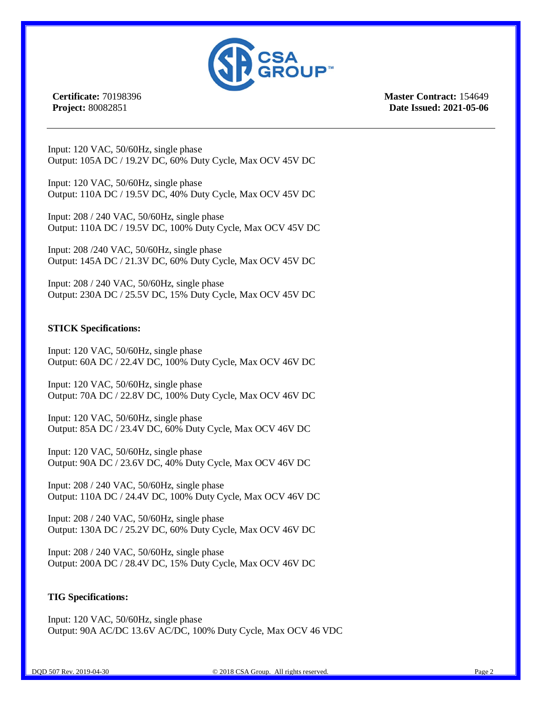

**Certificate:** 70198396 **Project:** 80082851

**Master Contract:** 154649 **Date Issued: 2021-05-06**

Input: 120 VAC, 50/60Hz, single phase Output: 105A DC / 19.2V DC, 60% Duty Cycle, Max OCV 45V DC

Input: 120 VAC, 50/60Hz, single phase Output: 110A DC / 19.5V DC, 40% Duty Cycle, Max OCV 45V DC

Input: 208 / 240 VAC, 50/60Hz, single phase Output: 110A DC / 19.5V DC, 100% Duty Cycle, Max OCV 45V DC

Input: 208 /240 VAC, 50/60Hz, single phase Output: 145A DC / 21.3V DC, 60% Duty Cycle, Max OCV 45V DC

Input: 208 / 240 VAC, 50/60Hz, single phase Output: 230A DC / 25.5V DC, 15% Duty Cycle, Max OCV 45V DC

### **STICK Specifications:**

Input: 120 VAC, 50/60Hz, single phase Output: 60A DC / 22.4V DC, 100% Duty Cycle, Max OCV 46V DC

Input: 120 VAC, 50/60Hz, single phase Output: 70A DC / 22.8V DC, 100% Duty Cycle, Max OCV 46V DC

Input: 120 VAC, 50/60Hz, single phase Output: 85A DC / 23.4V DC, 60% Duty Cycle, Max OCV 46V DC

Input: 120 VAC, 50/60Hz, single phase Output: 90A DC / 23.6V DC, 40% Duty Cycle, Max OCV 46V DC

Input: 208 / 240 VAC, 50/60Hz, single phase Output: 110A DC / 24.4V DC, 100% Duty Cycle, Max OCV 46V DC

Input: 208 / 240 VAC, 50/60Hz, single phase Output: 130A DC / 25.2V DC, 60% Duty Cycle, Max OCV 46V DC

Input: 208 / 240 VAC, 50/60Hz, single phase Output: 200A DC / 28.4V DC, 15% Duty Cycle, Max OCV 46V DC

### **TIG Specifications:**

Input: 120 VAC, 50/60Hz, single phase Output: 90A AC/DC 13.6V AC/DC, 100% Duty Cycle, Max OCV 46 VDC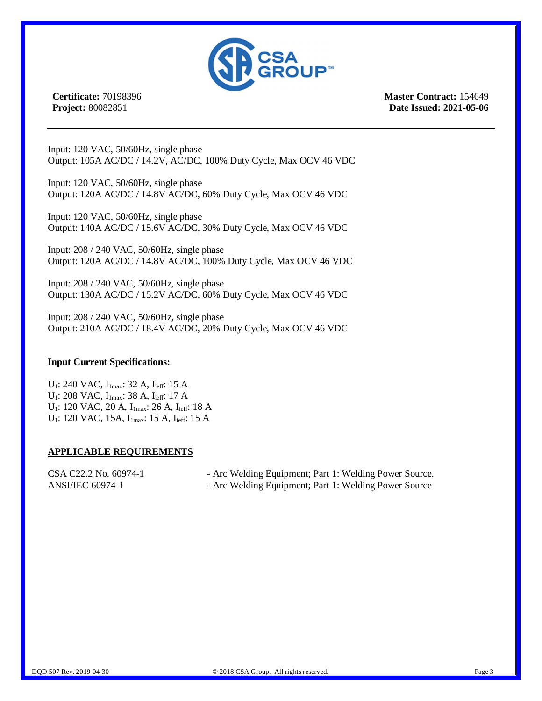

**Certificate:** 70198396 **Project:** 80082851

**Master Contract:** 154649 **Date Issued: 2021-05-06**

Input: 120 VAC, 50/60Hz, single phase Output: 105A AC/DC / 14.2V, AC/DC, 100% Duty Cycle, Max OCV 46 VDC

Input: 120 VAC, 50/60Hz, single phase Output: 120A AC/DC / 14.8V AC/DC, 60% Duty Cycle, Max OCV 46 VDC

Input: 120 VAC, 50/60Hz, single phase Output: 140A AC/DC / 15.6V AC/DC, 30% Duty Cycle, Max OCV 46 VDC

Input: 208 / 240 VAC, 50/60Hz, single phase Output: 120A AC/DC / 14.8V AC/DC, 100% Duty Cycle, Max OCV 46 VDC

Input: 208 / 240 VAC, 50/60Hz, single phase Output: 130A AC/DC / 15.2V AC/DC, 60% Duty Cycle, Max OCV 46 VDC

Input: 208 / 240 VAC, 50/60Hz, single phase Output: 210A AC/DC / 18.4V AC/DC, 20% Duty Cycle, Max OCV 46 VDC

### **Input Current Specifications:**

U<sub>1</sub>: 240 VAC, I<sub>1max</sub>: 32 A, I<sub>ieff</sub>: 15 A  $U_1$ : 208 VAC,  $I_{1max}$ : 38 A,  $I_{\text{ieff}}$ : 17 A U<sub>1</sub>: 120 VAC, 20 A, I<sub>1max</sub>: 26 A, I<sub>ieff</sub>: 18 A U<sub>1</sub>: 120 VAC, 15A, I<sub>1max</sub>: 15 A, I<sub>ieff</sub>: 15 A

### **APPLICABLE REQUIREMENTS**

| CSA C22.2 No. 60974-1 | - Arc Welding Equipment; Part 1: Welding Power Source. |
|-----------------------|--------------------------------------------------------|
| ANSI/IEC 60974-1      | - Arc Welding Equipment; Part 1: Welding Power Source  |